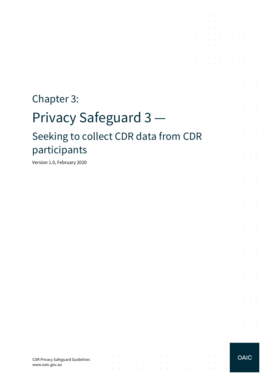# Chapter 3: Privacy Safeguard 3 — Seeking to collect CDR data from CDR participants

 $\mathcal{L}_{\mathcal{A}}$  . The second contribution of the second contribution of the second contribution of  $\mathcal{A}$ 

and a series of the contract of the contract of the contract of the contract of the contract of the contract of

the contract of the contract of the contract of the

 $\sim 10$ 

 $\mathcal{A}^{\mathcal{A}}$  and  $\mathcal{A}^{\mathcal{A}}$ 

**Contractor** 

Version 1.0, February 2020

CDR Privacy Safeguard Guidelines www.oaic.gov.au

**OAIC** 

and a series of the contract of the contract of the contract of the contract of the contract of  $\mathcal{L}^{\mathcal{A}}$  . The contribution of the contribution of the contribution of  $\mathcal{L}^{\mathcal{A}}$ the contract of the contract of

the control of the control of the conand a series of the series of the series of the  $\mathcal{A}$  . The contribution of the contribution of the contribution of  $\mathcal{A}$  $\mathcal{L}^{\mathcal{A}}$  . The set of the set of the set of the set of the set of  $\mathcal{L}^{\mathcal{A}}$ and a state of the state of the

 $\sim 10$ 

 $\sim$ and a state

 $\bar{z}$  $\Delta\sim 10^{-1}$ 

 $\mathcal{L}^{\text{max}}$  $\Delta \sim 100$ 

 $\epsilon$  $\sim 10^{-1}$ 

 $\mathcal{L}^{\pm}$ **College** 

and a state

and the con- $\sim 10^{-11}$  .  $\mathcal{L}^{\text{max}}$  and  $\mathcal{L}^{\text{max}}$ S. **College** and the control

and the control and a state  $\mathcal{L}_{\rm{c}}$ and a state **Service State** 

**Service** State and the control

 $\Delta \sim 10^{11}$  m  $^{-1}$ and a state

**Service Control Service** State

 $\mathcal{L}=\mathcal{L}=\mathcal{L}$ 

 $\mathcal{L}^{\text{max}}$ 

**Service**  $\alpha = 1, \ldots, n$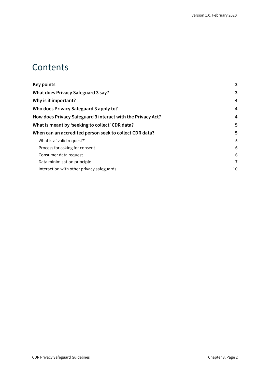### **Contents**

| <b>Key points</b>                                           | 3  |
|-------------------------------------------------------------|----|
| <b>What does Privacy Safeguard 3 say?</b>                   | 3  |
| Why is it important?                                        | 4  |
| Who does Privacy Safeguard 3 apply to?                      | 4  |
| How does Privacy Safeguard 3 interact with the Privacy Act? | 4  |
| What is meant by 'seeking to collect' CDR data?             | 5  |
| When can an accredited person seek to collect CDR data?     | 5  |
| What is a 'valid request?'                                  | 5  |
| Process for asking for consent                              | 6  |
| Consumer data request                                       | 6  |
| Data minimisation principle                                 | 7  |
| Interaction with other privacy safeguards                   | 10 |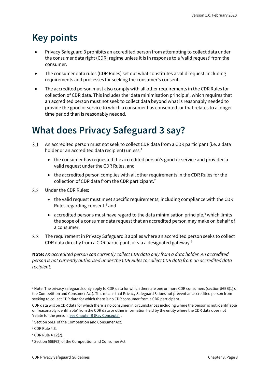### <span id="page-2-0"></span>**Key points**

- Privacy Safeguard 3 prohibits an accredited person from attempting to collect data under the consumer data right (CDR) regime unless it is in response to a 'valid request' from the consumer.
- The consumer data rules (CDR Rules) set out what constitutes a valid request, including requirements and processes for seeking the consumer's consent.
- The accredited person must also comply with all other requirements in the CDR Rules for collection of CDR data. This includes the 'data minimisation principle', which requires that an accredited person must not seek to collect data beyond what is reasonably needed to provide the good or service to which a consumer has consented, or that relates to a longer time period than is reasonably needed.

### <span id="page-2-1"></span>**What does Privacy Safeguard 3 say?**

- An accredited person must not seek to collect CDR data from a CDR participant (i.e. a data  $3.1$ holder or an accredited data recipient) unless: $<sup>1</sup>$  $<sup>1</sup>$  $<sup>1</sup>$ </sup>
	- the consumer has requested the accredited person's good or service and provided a valid request under the CDR Rules, and
	- the accredited person complies with all other requirements in the CDR Rules for the collection of CDR data from the CDR participant.<sup>[2](#page-2-3)</sup>
- $3.2$ Under the CDR Rules:
	- the valid request must meet specific requirements, including compliance with the CDR Rules regarding consent, [3](#page-2-4) and
	- accredited persons must have regard to the data minimisation principle, $4$  which limits the scope of a consumer data request that an accredited person may make on behalf of a consumer.
- $3.3$ The requirement in Privacy Safeguard 3 applies where an accredited person seeks to collect CDR data directly from a CDR participant, or via a designated gateway.[5](#page-2-6)

**Note:** *An accredited person can currently collect CDR data only from a data holder. An accredited person is not currently authorised under the CDR Rules to collect CDR data from an accredited data recipient.*

<span id="page-2-2"></span> $1$  Note: The privacy safeguards only apply to CDR data for which there are one or more CDR consumers (section 56EB(1) of the Competition and Consumer Act). This means that Privacy Safeguard 3 does not prevent an accredited person from seeking to collect CDR data for which there is no CDR consumer from a CDR participant.

CDR data will be CDR data for which there is no consumer in circumstances including where the person is not identifiable or 'reasonably identifiable' from the CDR data or other information held by the entity where the CDR data does not 'relate to' the person [\(see Chapter B \(Key Concepts\)\)](https://www.oaic.gov.au/consumer-data-right/cdr-privacy-safeguard-guidelines/chapter-b-key-concepts).

<span id="page-2-3"></span><sup>2</sup> Section 56EF of the Competition and Consumer Act.

<span id="page-2-4"></span><sup>&</sup>lt;sup>3</sup> CDR Rule 4.3.

<span id="page-2-5"></span><sup>4</sup> CDR Rule 4.12(2).

<span id="page-2-6"></span><sup>5</sup> Section 56EF(2) of the Competition and Consumer Act.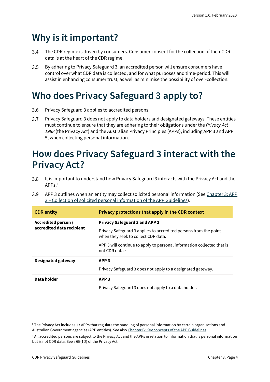### <span id="page-3-0"></span>**Why is it important?**

- The CDR regime is driven by consumers. Consumer consent for the collection of their CDR  $3.4$ data is at the heart of the CDR regime.
- $3.5$ By adhering to Privacy Safeguard 3, an accredited person will ensure consumers have control over what CDR data is collected, and for what purposes and time-period. This will assist in enhancing consumer trust, as well as minimise the possibility of over-collection.

## <span id="page-3-1"></span>**Who does Privacy Safeguard 3 apply to?**

- Privacy Safeguard 3 applies to accredited persons.  $3.6$
- $3.7$ Privacy Safeguard 3 does not apply to data holders and designated gateways. These entities must continue to ensure that they are adhering to their obligations under the *Privacy Act 1988* (the Privacy Act) and the Australian Privacy Principles (APPs), including APP 3 and APP 5, when collecting personal information.

### <span id="page-3-2"></span>**How does Privacy Safeguard 3 interact with the Privacy Act?**

- $3.8$ It is important to understand how Privacy Safeguard 3 interacts with the Privacy Act and the  $APP<sub>s</sub>$ <sup>[6](#page-3-3)</sup>
- 3.9 APP 3 outlines when an entity may collect solicited personal information (See Chapter 3: APP 3 – [Collection of solicited personal information](https://www.oaic.gov.au/privacy/australian-privacy-principles-guidelines/chapter-3-app-3-collection-of-solicited-personal-information/) of the APP Guidelines).

| <b>CDR</b> entity                                | Privacy protections that apply in the CDR context                                                       |  |
|--------------------------------------------------|---------------------------------------------------------------------------------------------------------|--|
| Accredited person /<br>accredited data recipient | <b>Privacy Safeguard 3 and APP 3</b>                                                                    |  |
|                                                  | Privacy Safeguard 3 applies to accredited persons from the point<br>when they seek to collect CDR data. |  |
|                                                  | APP 3 will continue to apply to personal information collected that is<br>not CDR data. <sup>7</sup>    |  |
| Designated gateway                               | APP <sub>3</sub>                                                                                        |  |
|                                                  | Privacy Safeguard 3 does not apply to a designated gateway.                                             |  |
| Data holder                                      | APP <sub>3</sub>                                                                                        |  |
|                                                  | Privacy Safeguard 3 does not apply to a data holder.                                                    |  |

<span id="page-3-3"></span><sup>6</sup> The Privacy Act includes 13 APPs that regulate the handling of personal information by certain organisations and Australian Government agencies (APP entities). See als[o Chapter B: Key concepts of the APP Guidelines.](https://www.oaic.gov.au/privacy/australian-privacy-principles-guidelines/chapter-b-key-concepts/)

<span id="page-3-4"></span><sup>7</sup> All accredited persons are subject to the Privacy Act and the APPs in relation to information that is personal information but is not CDR data. See s 6E(1D) of the Privacy Act.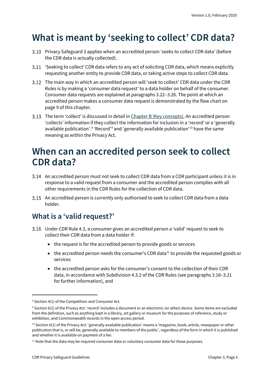### <span id="page-4-0"></span>**What is meant by 'seeking to collect' CDR data?**

- Privacy Safeguard 3 applies when an accredited person 'seeks to collect CDR data' (before the CDR data is actually collected).
- 'Seeking to collect' CDR data refers to any act of soliciting CDR data, which means explicitly requesting another entity to provide CDR data, or taking active steps to collect CDR data.
- The main way in which an accredited person will 'seek to collect' CDR data under the CDR Rules is by making a 'consumer data request' to a data holder on behalf of the consumer. Consumer data requests are explained at paragraphs 3.22–3.26. The point at which an accredited person makes a consumer data request is demonstrated by the flow chart on page 9 of this chapter.
- 3.13 The term 'collect' is discussed in detail in [Chapter B \(Key concepts\).](https://www.oaic.gov.au/consumer-data-right/cdr-privacy-safeguard-guidelines/chapter-b-key-concepts) An accredited person 'collects' information if they collect the information for inclusion in a 'record' or a 'generally available publication'.<sup>[8](#page-4-3)</sup> 'Record'<sup>[9](#page-4-4)</sup> and 'generally available publication'<sup>[10](#page-4-5)</sup> have the same meaning as within the Privacy Act.

### <span id="page-4-1"></span>**When can an accredited person seek to collect CDR data?**

- An accredited person must not seek to collect CDR data from a CDR participant unless it is in response to a valid request from a consumer and the accredited person complies with all other requirements in the CDR Rules for the collection of CDR data.
- An accredited person is currently only authorised to seek to collect CDR data from a data holder.

#### <span id="page-4-2"></span>**What is a 'valid request?'**

- Under CDR Rule 4.3, a consumer gives an accredited person a 'valid' request to seek to collect their CDR data from a data holder if:
	- the request is for the accredited person to provide goods or services
	- $\bullet$  the accredited person needs the consumer's CDR data<sup>11</sup> to provide the requested goods or services
	- the accredited person asks for the consumer's consent to the collection of their CDR data, in accordance with Subdivision 4.3.2 of the CDR Rules (see paragraphs 3.18–3.21 for further information), and

<span id="page-4-3"></span><sup>&</sup>lt;sup>8</sup> Section 4(1) of the Competition and Consumer Act.

<span id="page-4-4"></span><sup>9</sup> Section 6(1) of the Privacy Act: 'record' includes a document or an electronic (or other) device. Some items are excluded from the definition, such as anything kept in a library, art gallery or museum for the purposes of reference, study or exhibition, and Commonwealth records in the open access period.

<span id="page-4-5"></span> $10$  Section 6(1) of the Privacy Act: 'generally available publication' means a 'magazine, book, article, newspaper or other publication that is, or will be, generally available to members of the public', regardless of the form in which it is published and whether it is available on payment of a fee.

<span id="page-4-6"></span> $11$  Note that the data may be required consumer data or voluntary consumer data for these purposes.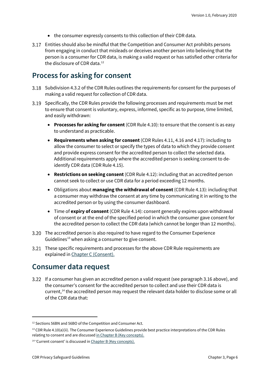- the consumer expressly consents to this collection of their CDR data.
- Entities should also be mindful that the Competition and Consumer Act prohibits persons from engaging in conduct that misleads or deceives another person into believing that the person is a consumer for CDR data, is making a valid request or has satisfied other criteria for the disclosure of CDR data. [12](#page-5-2)

#### <span id="page-5-0"></span>**Process for asking for consent**

- Subdivision 4.3.2 of the CDR Rules outlines the requirements for consent for the purposes of making a valid request for collection of CDR data.
- Specifically, the CDR Rules provide the following processes and requirements must be met to ensure that consent is voluntary, express, informed, specific as to purpose, time limited, and easily withdrawn:
	- **Processes for asking for consent** (CDR Rule 4.10): to ensure that the consent is as easy to understand as practicable.
	- **Requirements when asking for consent** (CDR Rules 4.11, 4.16 and 4.17): including to allow the consumer to select or specify the types of data to which they provide consent and provide express consent for the accredited person to collect the selected data. Additional requirements apply where the accredited person is seeking consent to deidentify CDR data (CDR Rule 4.15).
	- **Restrictions on seeking consent** (CDR Rule 4.12): including that an accredited person cannot seek to collect or use CDR data for a period exceeding 12 months.
	- Obligations about **managing the withdrawal of consent**(CDR Rule 4.13): including that a consumer may withdraw the consent at any time by communicating it in writing to the accredited person or by using the consumer dashboard.
	- Time of **expiry of consent** (CDR Rule 4.14): consent generally expires upon withdrawal of consent or at the end of the specified period in which the consumer gave consent for the accredited person to collect the CDR data (which cannot be longer than 12 months).
- The accredited person is also required to have regard to the Consumer Experience Guidelines<sup>[13](#page-5-3)</sup> when asking a consumer to give consent.
- These specific requirements and processes for the above CDR Rule requirements are explained i[n Chapter C \(Consent\).](https://www.oaic.gov.au/consumer-data-right/cdr-privacy-safeguard-guidelines/chapter-c-consent-the-basis-for-collecting-and-using-cdr-data)

#### <span id="page-5-1"></span>**Consumer data request**

If a consumer has given an accredited person a valid request (see paragraph 3.16 above), and the consumer's consent for the accredited person to collect and use their CDR data is current,<sup>[14](#page-5-4)</sup> the accredited person may request the relevant data holder to disclose some or all of the CDR data that:

<span id="page-5-2"></span><sup>&</sup>lt;sup>12</sup> Sections 56BN and 56BO of the Competition and Consumer Act.

<span id="page-5-3"></span> $13$  CDR Rule 4.10(a)(ii). The Consumer Experience Guidelines provide best practice interpretations of the CDR Rules relating to consent and are discusse[d in Chapter B \(Key concepts\).](https://www.oaic.gov.au/consumer-data-right/cdr-privacy-safeguard-guidelines/chapter-b-key-concepts)

<span id="page-5-4"></span><sup>14</sup> 'Current consent' is discussed i[n Chapter B \(Key concepts\).](https://www.oaic.gov.au/consumer-data-right/cdr-privacy-safeguard-guidelines/chapter-b-key-concepts)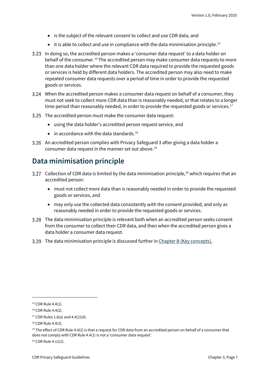- is the subject of the relevant consent to collect and use CDR data, and
- $\bullet$  it is able to collect and use in compliance with the data minimisation principle.<sup>[15](#page-6-1)</sup>
- In doing so, the accredited person makes a 'consumer data request' to a data holder on behalf of the consumer[.16](#page-6-2) The accredited person may make consumer data requests to more than one data holder where the relevant CDR data required to provide the requested goods or services is held by different data holders. The accredited person may also need to make repeated consumer data requests over a period of time in order to provide the requested goods or services.
- When the accredited person makes a consumer data request on behalf of a consumer, they must not seek to collect more CDR data than is reasonably needed, or that relates to a longer time period than reasonably needed, in order to provide the requested goods or services.<sup>[17](#page-6-3)</sup>
- The accredited person must make the consumer data request:
	- using the data holder's accredited person request service, and
	- $\bullet$  in accordance with the data standards.<sup>[18](#page-6-4)</sup>
- An accredited person complies with Privacy Safeguard 3 after giving a data holder a consumer data request in the manner set out above.<sup>[19](#page-6-5)</sup>

#### <span id="page-6-0"></span>**Data minimisation principle**

- Collection of CDR data is limited by the data minimisation principle, $^{20}$  $^{20}$  $^{20}$  which requires that an accredited person:
	- must not collect more data than is reasonably needed in order to provide the requested goods or services, and
	- may only use the collected data consistently with the consent provided, and only as reasonably needed in order to provide the requested goods or services.
- The data minimisation principle is relevant both when an accredited person seeks consent from the consumer to collect their CDR data, and then when the accredited person gives a data holder a consumer data request.
- The data minimisation principle is discussed further in [Chapter B \(Key concepts\).](https://www.oaic.gov.au/consumer-data-right/cdr-privacy-safeguard-guidelines/chapter-b-key-concepts)

<span id="page-6-1"></span><sup>&</sup>lt;sup>15</sup> CDR Rule 4.4(1).

<span id="page-6-2"></span><sup>&</sup>lt;sup>16</sup> CDR Rule 4.4(2).

<span id="page-6-3"></span> $17$  CDR Rules 1.8(a) and 4.4(1)(d).

<span id="page-6-4"></span><sup>18</sup> CDR Rule 4.4(3).

<span id="page-6-5"></span><sup>&</sup>lt;sup>19</sup> The effect of CDR Rule 4.4(2) is that a request for CDR data from an accredited person on behalf of a consumer that does not comply with CDR Rule 4.4(1) is not a 'consumer data request'.

<span id="page-6-6"></span><sup>20</sup> CDR Rule 4.12(2).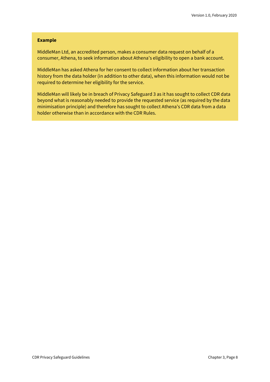#### **Example**

MiddleMan Ltd, an accredited person, makes a consumer data request on behalf of a consumer, Athena, to seek information about Athena's eligibility to open a bank account.

MiddleMan has asked Athena for her consent to collect information about her transaction history from the data holder (in addition to other data), when this information would not be required to determine her eligibility for the service.

MiddleMan will likely be in breach of Privacy Safeguard 3 as it has sought to collect CDR data beyond what is reasonably needed to provide the requested service (as required by the data minimisation principle) and therefore has sought to collect Athena's CDR data from a data holder otherwise than in accordance with the CDR Rules.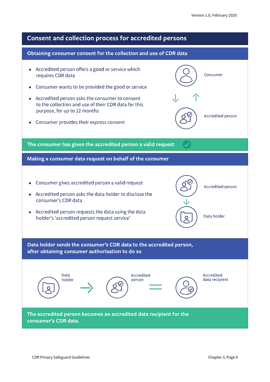